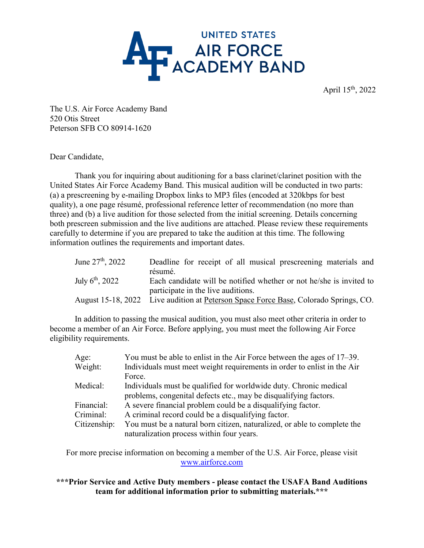

April 15th, 2022

The U.S. Air Force Academy Band 520 Otis Street Peterson SFB CO 80914-1620

Dear Candidate,

Thank you for inquiring about auditioning for a bass clarinet/clarinet position with the United States Air Force Academy Band. This musical audition will be conducted in two parts: (a) a prescreening by e-mailing Dropbox links to MP3 files (encoded at 320kbps for best quality), a one page résumé, professional reference letter of recommendation (no more than three) and (b) a live audition for those selected from the initial screening. Details concerning both prescreen submission and the live auditions are attached. Please review these requirements carefully to determine if you are prepared to take the audition at this time. The following information outlines the requirements and important dates.

| June $27^{\rm th}$ , 2022   | Deadline for receipt of all musical prescreening materials and<br>résumé.                                                  |
|-----------------------------|----------------------------------------------------------------------------------------------------------------------------|
| July $6^{\text{th}}$ , 2022 | Each candidate will be notified whether or not he/she is invited to                                                        |
|                             | participate in the live auditions.<br>August 15-18, 2022 Live audition at Peterson Space Force Base, Colorado Springs, CO. |

In addition to passing the musical audition, you must also meet other criteria in order to become a member of an Air Force. Before applying, you must meet the following Air Force eligibility requirements.

| Age:<br>Weight: | You must be able to enlist in the Air Force between the ages of 17–39.<br>Individuals must meet weight requirements in order to enlist in the Air |
|-----------------|---------------------------------------------------------------------------------------------------------------------------------------------------|
|                 | Force.                                                                                                                                            |
| Medical:        | Individuals must be qualified for worldwide duty. Chronic medical                                                                                 |
|                 | problems, congenital defects etc., may be disqualifying factors.                                                                                  |
| Financial:      | A severe financial problem could be a disqualifying factor.                                                                                       |
| Criminal:       | A criminal record could be a disqualifying factor.                                                                                                |
| Citizenship:    | You must be a natural born citizen, naturalized, or able to complete the                                                                          |
|                 | naturalization process within four years.                                                                                                         |

For more precise information on becoming a member of the U.S. Air Force, please visit [www.airforce.com](http://www.airforce.com/) 

**\*\*\*Prior Service and Active Duty members - please contact the USAFA Band Auditions team for additional information prior to submitting materials.\*\*\***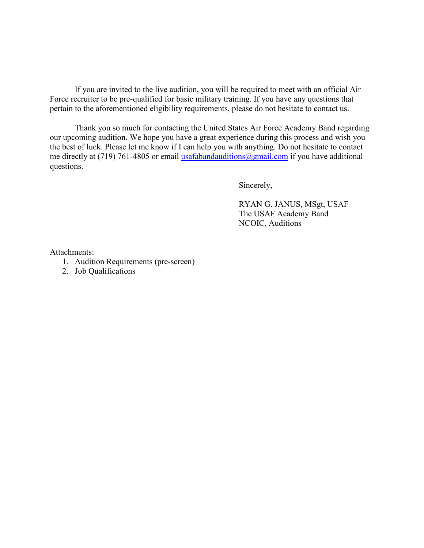If you are invited to the live audition, you will be required to meet with an official Air Force recruiter to be pre-qualified for basic military training. If you have any questions that pertain to the aforementioned eligibility requirements, please do not hesitate to contact us.

Thank you so much for contacting the United States Air Force Academy Band regarding our upcoming audition. We hope you have a great experience during this process and wish you the best of luck. Please let me know if I can help you with anything. Do not hesitate to contact me directly at (719) 761-4805 or email [usafabandauditions@gmail.com](mailto:usafabandauditions@gmail.com) if you have additional questions.

Sincerely,

 RYAN G. JANUS, MSgt, USAF The USAF Academy Band NCOIC, Auditions

Attachments:

- 1. Audition Requirements (pre-screen)
- 2. Job Qualifications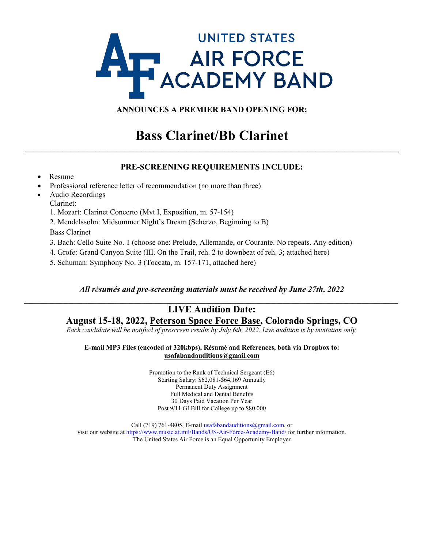# **UNITED STATES AIR FORCE<br>ACADEMY BAND**

# **ANNOUNCES A PREMIER BAND OPENING FOR:**

# **Bass Clarinet/Bb Clarinet \_\_\_\_\_\_\_\_\_\_\_\_\_\_\_\_\_\_\_\_\_\_\_\_\_\_\_\_\_\_\_\_\_\_\_\_\_\_\_\_\_\_\_\_\_\_\_\_\_\_\_\_\_\_\_\_\_\_\_\_\_\_\_\_\_\_\_\_\_\_\_\_\_\_\_\_\_\_\_\_\_\_\_\_\_\_\_\_\_\_**

### **PRE-SCREENING REQUIREMENTS INCLUDE:**

- Resume
- Professional reference letter of recommendation (no more than three)
- Audio Recordings
	- Clarinet:
	- 1. Mozart: Clarinet Concerto (Mvt I, Exposition, m. 57-154)
	- 2. Mendelssohn: Midsummer Night's Dream (Scherzo, Beginning to B) Bass Clarinet
	- 3. Bach: Cello Suite No. 1 (choose one: Prelude, Allemande, or Courante. No repeats. Any edition)
	- 4. Grofe: Grand Canyon Suite (III. On the Trail, reh. 2 to downbeat of reh. 3; attached here)
	- 5. Schuman: Symphony No. 3 (Toccata, m. 157-171, attached here)

#### *All résumés and pre-screening materials must be received by June 27th, 2022 \_\_\_\_\_\_\_\_\_\_\_\_\_\_\_\_\_\_\_\_\_\_\_\_\_\_\_\_\_\_\_\_\_\_\_\_\_\_\_\_\_\_\_\_\_\_\_\_\_\_\_\_\_\_\_\_\_\_\_\_\_\_\_\_\_\_\_\_\_\_\_\_\_\_\_\_\_\_\_\_\_\_\_\_\_\_\_\_\_\_*

# **LIVE Audition Date: August 15-18, 2022, Peterson Space Force Base, Colorado Springs, CO**

*Each candidate will be notified of prescreen results by July 6th, 2022. Live audition is by invitation only.*

#### **E-mail MP3 Files (encoded at 320kbps), Résumé and References, both via Dropbox to: usafabandauditions@gmail.com**

Promotion to the Rank of Technical Sergeant (E6) Starting Salary: \$62,081-\$64,169 Annually Permanent Duty Assignment Full Medical and Dental Benefits 30 Days Paid Vacation Per Year Post 9/11 GI Bill for College up to \$80,000

Call (719) 761-4805, E-mai[l usafabandauditions@gmail.com,](mailto:usafabandauditions@gmail.com) or visit our website a[t https://www.music.af.mil/Bands/US-Air-Force-Academy-Band/](https://www.music.af.mil/Bands/US-Air-Force-Academy-Band/) for further information. The United States Air Force is an Equal Opportunity Employer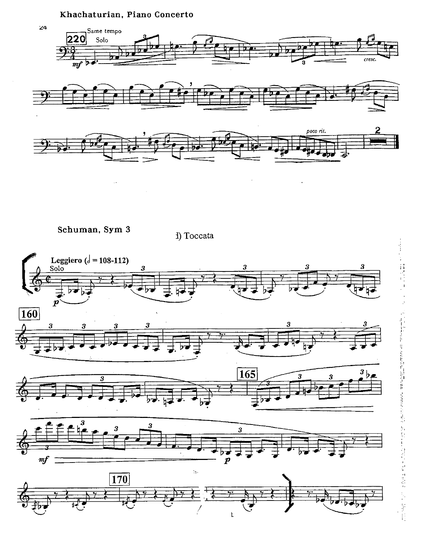## Khachaturian, Piano Concerto







Schuman, Sym 3

 $\ddot{\phantom{a}}$  .

1) Toccata